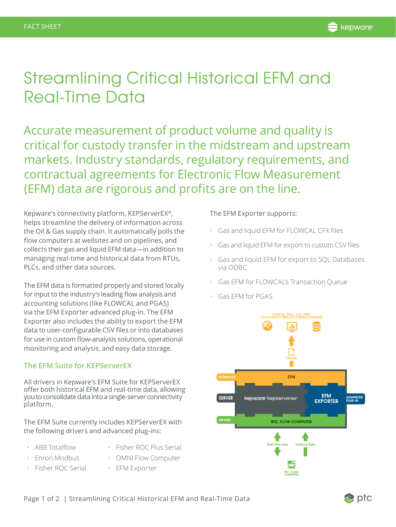## Streamlining Critical Historical EFM and Real-Time Data

Accurate measurement of product volume and quality is critical for custody transfer in the midstream and upstream markets. Industry standards, regulatory requirements, and contractual agreements for Electronic Flow Measurement (EFM) data are rigorous and profits are on the line.

Kepware's connectivity platform, KEPServerEX®, helps streamline the delivery of information across the Oil & Gas supply chain. It automatically polls the flow computers at wellsites and on pipelines, and collects their gas and liquid EFM data—in addition to managing real-time and historical data from RTUs, PLCs, and other data sources.

The EFM data is formatted properly and stored locally for input to the industry's leading flow analysis and accounting solutions (like FLOWCAL and PGAS) via the EFM Exporter advanced plug-in. The EFM Exporter also includes the ability to export the EFM data to user-configurable CSV files or into databases for use in custom flow-analysis solutions, operational monitoring and analysis, and easy data storage.

## **The EFM Suite for KEPServerEX**

All drivers in Kepware's EFM Suite for KEPServerEX offer both historical EFM and real-time data, allowing you to consolidate data into a single-server connectivity platform.

The EFM Suite currently includes KEPServerEX with the following drivers and advanced plug-ins:

- ABB Totalflow Fisher ROC Plus Serial
	-
- Enron Modbus OMNI Flow Computer
	- Fisher ROC Serial EFM Exporter

## The EFM Exporter supports:

- Gas and liquid EFM for FLOWCAL CFX files
- Gas and liquid EFM for export to custom CSV files
- Gas and liquid EFM for export to SQL Databases via ODBC
- Gas EFM for FLOWCAL's Transaction Queue
- Gas EFM for PGAS